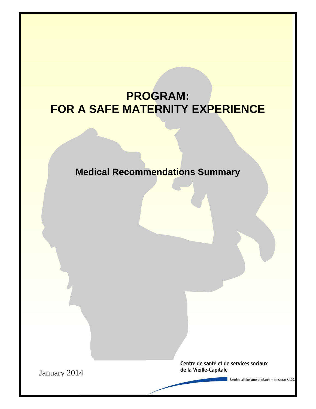# **PROGRAM: FOR A SAFE MATERNITY EXPERIENCE**

**Medical Recommendations Summary**

1

Centre de santé et de services sociaux de la Vieille-Capitale

January 2014

Centre affilié universitaire - mission CLSC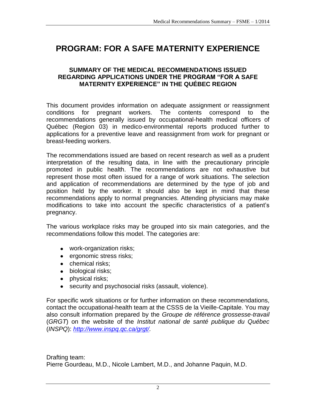# **PROGRAM: FOR A SAFE MATERNITY EXPERIENCE**

## **SUMMARY OF THE MEDICAL RECOMMENDATIONS ISSUED REGARDING APPLICATIONS UNDER THE PROGRAM "FOR A SAFE MATERNITY EXPERIENCE" IN THE QUÉBEC REGION**

This document provides information on adequate assignment or reassignment conditions for pregnant workers. The contents correspond to the recommendations generally issued by occupational-health medical officers of Québec (Region 03) in medico-environmental reports produced further to applications for a preventive leave and reassignment from work for pregnant or breast-feeding workers.

The recommendations issued are based on recent research as well as a prudent interpretation of the resulting data, in line with the precautionary principle promoted in public health. The recommendations are not exhaustive but represent those most often issued for a range of work situations. The selection and application of recommendations are determined by the type of job and position held by the worker. It should also be kept in mind that these recommendations apply to normal pregnancies. Attending physicians may make modifications to take into account the specific characteristics of a patient's pregnancy.

The various workplace risks may be grouped into six main categories, and the recommendations follow this model. The categories are:

- work-organization risks;
- **e** ergonomic stress risks;
- chemical risks:
- biological risks;
- physical risks;
- security and psychosocial risks (assault, violence).

For specific work situations or for further information on these recommendations, contact the occupational-health team at the CSSS de la Vieille-Capitale. You may also consult information prepared by the *Groupe de référence grossesse-travail* (*GRGT*) on the website of the *Institut national de santé publique du Québec* (*INSPQ*): *[http://www.inspq.qc.ca/grgt/.](http://www.inspq.qc.ca/grgt/)*

Drafting team: Pierre Gourdeau, M.D., Nicole Lambert, M.D., and Johanne Paquin, M.D.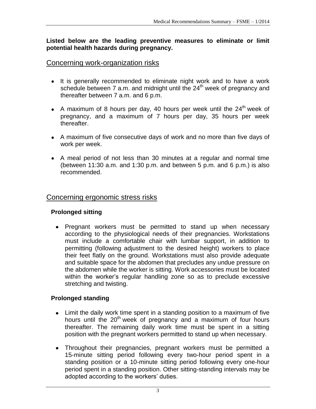**Listed below are the leading preventive measures to eliminate or limit potential health hazards during pregnancy.**

# Concerning work-organization risks

- It is generally recommended to eliminate night work and to have a work schedule between 7 a.m. and midnight until the 24<sup>th</sup> week of pregnancy and thereafter between 7 a.m. and 6 p.m.
- A maximum of 8 hours per day, 40 hours per week until the  $24<sup>th</sup>$  week of pregnancy, and a maximum of 7 hours per day, 35 hours per week thereafter.
- A maximum of five consecutive days of work and no more than five days of work per week.
- A meal period of not less than 30 minutes at a regular and normal time (between 11:30 a.m. and 1:30 p.m. and between 5 p.m. and 6 p.m.) is also recommended.

# Concerning ergonomic stress risks

# **Prolonged sitting**

Pregnant workers must be permitted to stand up when necessary according to the physiological needs of their pregnancies. Workstations must include a comfortable chair with lumbar support, in addition to permitting (following adjustment to the desired height) workers to place their feet flatly on the ground. Workstations must also provide adequate and suitable space for the abdomen that precludes any undue pressure on the abdomen while the worker is sitting. Work accessories must be located within the worker's regular handling zone so as to preclude excessive stretching and twisting.

# **Prolonged standing**

- Limit the daily work time spent in a standing position to a maximum of five hours until the  $20<sup>th</sup>$  week of pregnancy and a maximum of four hours thereafter. The remaining daily work time must be spent in a sitting position with the pregnant workers permitted to stand up when necessary.
- Throughout their pregnancies, pregnant workers must be permitted a 15-minute sitting period following every two-hour period spent in a standing position or a 10-minute sitting period following every one-hour period spent in a standing position. Other sitting-standing intervals may be adopted according to the workers' duties.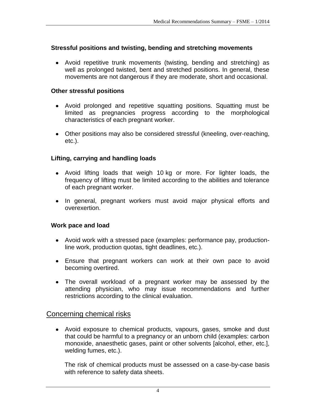# **Stressful positions and twisting, bending and stretching movements**

Avoid repetitive trunk movements (twisting, bending and stretching) as well as prolonged twisted, bent and stretched positions. In general, these movements are not dangerous if they are moderate, short and occasional.

# **Other stressful positions**

- Avoid prolonged and repetitive squatting positions. Squatting must be limited as pregnancies progress according to the morphological characteristics of each pregnant worker.
- Other positions may also be considered stressful (kneeling, over-reaching, etc.).

# **Lifting, carrying and handling loads**

- Avoid lifting loads that weigh 10 kg or more. For lighter loads, the frequency of lifting must be limited according to the abilities and tolerance of each pregnant worker.
- In general, pregnant workers must avoid major physical efforts and overexertion.

# **Work pace and load**

- Avoid work with a stressed pace (examples: performance pay, productionline work, production quotas, tight deadlines, etc.).
- Ensure that pregnant workers can work at their own pace to avoid becoming overtired.
- The overall workload of a pregnant worker may be assessed by the attending physician, who may issue recommendations and further restrictions according to the clinical evaluation.

# Concerning chemical risks

Avoid exposure to chemical products, vapours, gases, smoke and dust that could be harmful to a pregnancy or an unborn child (examples: carbon monoxide, anaesthetic gases, paint or other solvents [alcohol, ether, etc.], welding fumes, etc.).

The risk of chemical products must be assessed on a case-by-case basis with reference to safety data sheets.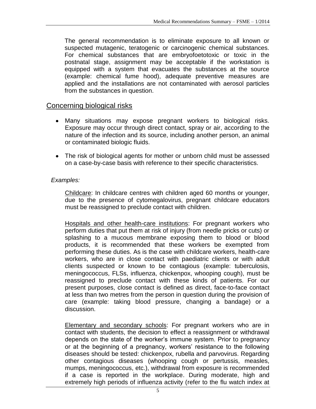The general recommendation is to eliminate exposure to all known or suspected mutagenic, teratogenic or carcinogenic chemical substances. For chemical substances that are embryofoetotoxic or toxic in the postnatal stage, assignment may be acceptable if the workstation is equipped with a system that evacuates the substances at the source (example: chemical fume hood), adequate preventive measures are applied and the installations are not contaminated with aerosol particles from the substances in question.

## Concerning biological risks

- Many situations may expose pregnant workers to biological risks. Exposure may occur through direct contact, spray or air, according to the nature of the infection and its source, including another person, an animal or contaminated biologic fluids.
- The risk of biological agents for mother or unborn child must be assessed on a case-by-case basis with reference to their specific characteristics.

#### *Examples:*

Childcare: In childcare centres with children aged 60 months or younger, due to the presence of cytomegalovirus, pregnant childcare educators must be reassigned to preclude contact with children.

Hospitals and other health-care institutions: For pregnant workers who perform duties that put them at risk of injury (from needle pricks or cuts) or splashing to a mucous membrane exposing them to blood or blood products, it is recommended that these workers be exempted from performing these duties. As is the case with childcare workers, health-care workers, who are in close contact with paediatric clients or with adult clients suspected or known to be contagious (example: tuberculosis, meningococcus, FLSs, influenza, chickenpox, whooping cough), must be reassigned to preclude contact with these kinds of patients. For our present purposes, close contact is defined as direct, face-to-face contact at less than two metres from the person in question during the provision of care (example: taking blood pressure, changing a bandage) or a discussion.

Elementary and secondary schools: For pregnant workers who are in contact with students, the decision to effect a reassignment or withdrawal depends on the state of the worker's immune system. Prior to pregnancy or at the beginning of a pregnancy, workers' resistance to the following diseases should be tested: chickenpox, rubella and parvovirus. Regarding other contagious diseases (whooping cough or pertussis, measles, mumps, meningococcus, etc.), withdrawal from exposure is recommended if a case is reported in the workplace. During moderate, high and extremely high periods of influenza activity (refer to the flu watch index at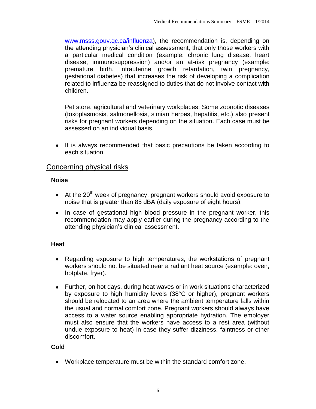[www.msss.gouv.qc.ca/influenza\)](http://www.msss.gouv.qc.ca/influenza), the recommendation is, depending on the attending physician's clinical assessment, that only those workers with a particular medical condition (example: chronic lung disease, heart disease, immunosuppression) and/or an at-risk pregnancy (example: premature birth, intrauterine growth retardation, twin pregnancy, gestational diabetes) that increases the risk of developing a complication related to influenza be reassigned to duties that do not involve contact with children.

Pet store, agricultural and veterinary workplaces: Some zoonotic diseases (toxoplasmosis, salmonellosis, simian herpes, hepatitis, etc.) also present risks for pregnant workers depending on the situation. Each case must be assessed on an individual basis.

• It is always recommended that basic precautions be taken according to each situation.

# Concerning physical risks

# **Noise**

- $\bullet$  At the 20<sup>th</sup> week of pregnancy, pregnant workers should avoid exposure to noise that is greater than 85 dBA (daily exposure of eight hours).
- In case of gestational high blood pressure in the pregnant worker, this recommendation may apply earlier during the pregnancy according to the attending physician's clinical assessment.

# **Heat**

- Regarding exposure to high temperatures, the workstations of pregnant workers should not be situated near a radiant heat source (example: oven, hotplate, fryer).
- Further, on hot days, during heat waves or in work situations characterized by exposure to high humidity levels (38°C or higher), pregnant workers should be relocated to an area where the ambient temperature falls within the usual and normal comfort zone. Pregnant workers should always have access to a water source enabling appropriate hydration. The employer must also ensure that the workers have access to a rest area (without undue exposure to heat) in case they suffer dizziness, faintness or other discomfort.

# **Cold**

Workplace temperature must be within the standard comfort zone.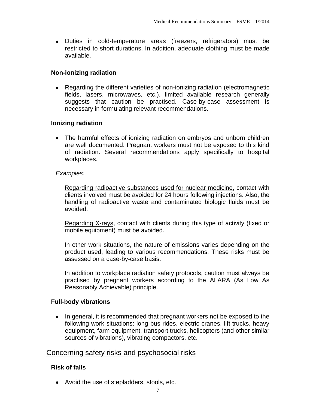Duties in cold-temperature areas (freezers, refrigerators) must be restricted to short durations. In addition, adequate clothing must be made available.

## **Non-ionizing radiation**

Regarding the different varieties of non-ionizing radiation (electromagnetic fields, lasers, microwaves, etc.), limited available research generally suggests that caution be practised. Case-by-case assessment is necessary in formulating relevant recommendations.

#### **Ionizing radiation**

• The harmful effects of ionizing radiation on embryos and unborn children are well documented. Pregnant workers must not be exposed to this kind of radiation. Several recommendations apply specifically to hospital workplaces.

#### *Examples:*

Regarding radioactive substances used for nuclear medicine, contact with clients involved must be avoided for 24 hours following injections. Also, the handling of radioactive waste and contaminated biologic fluids must be avoided.

Regarding X-rays, contact with clients during this type of activity (fixed or mobile equipment) must be avoided.

In other work situations, the nature of emissions varies depending on the product used, leading to various recommendations. These risks must be assessed on a case-by-case basis.

In addition to workplace radiation safety protocols, caution must always be practised by pregnant workers according to the ALARA (As Low As Reasonably Achievable) principle.

## **Full-body vibrations**

• In general, it is recommended that pregnant workers not be exposed to the following work situations: long bus rides, electric cranes, lift trucks, heavy equipment, farm equipment, transport trucks, helicopters (and other similar sources of vibrations), vibrating compactors, etc.

# Concerning safety risks and psychosocial risks

## **Risk of falls**

• Avoid the use of stepladders, stools, etc.